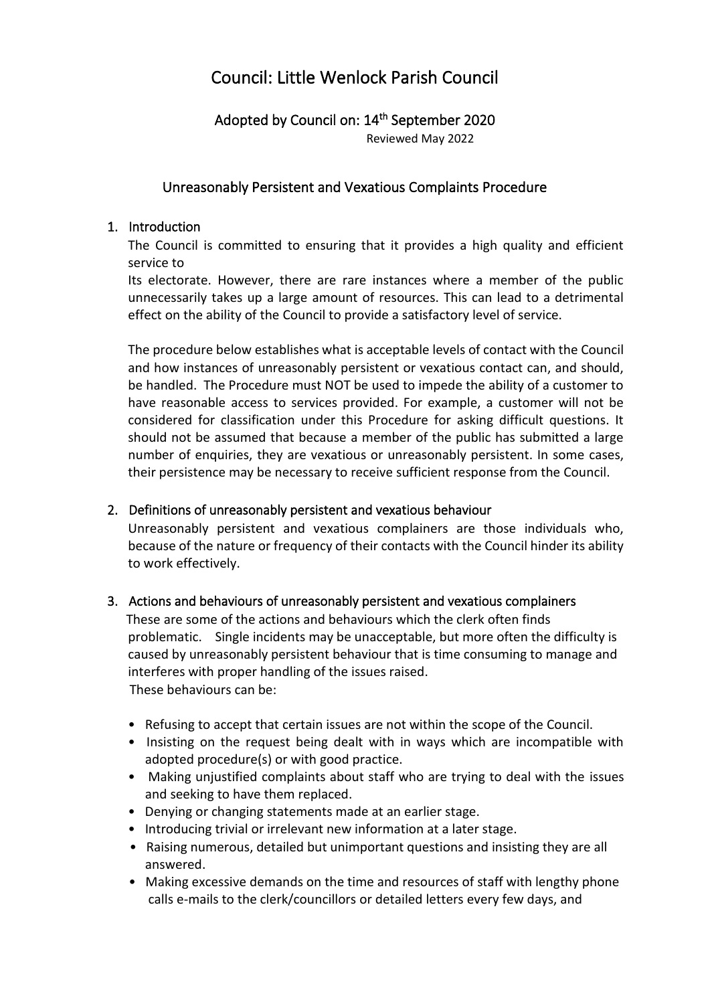# Council: Little Wenlock Parish Council

# Adopted by Council on: 14<sup>th</sup> September 2020

Reviewed May 2022

## Unreasonably Persistent and Vexatious Complaints Procedure

#### 1. Introduction

The Council is committed to ensuring that it provides a high quality and efficient service to

Its electorate. However, there are rare instances where a member of the public unnecessarily takes up a large amount of resources. This can lead to a detrimental effect on the ability of the Council to provide a satisfactory level of service.

The procedure below establishes what is acceptable levels of contact with the Council and how instances of unreasonably persistent or vexatious contact can, and should, be handled. The Procedure must NOT be used to impede the ability of a customer to have reasonable access to services provided. For example, a customer will not be considered for classification under this Procedure for asking difficult questions. It should not be assumed that because a member of the public has submitted a large number of enquiries, they are vexatious or unreasonably persistent. In some cases, their persistence may be necessary to receive sufficient response from the Council.

### 2. Definitions of unreasonably persistent and vexatious behaviour

Unreasonably persistent and vexatious complainers are those individuals who, because of the nature or frequency of their contacts with the Council hinder its ability to work effectively.

#### 3. Actions and behaviours of unreasonably persistent and vexatious complainers

 These are some of the actions and behaviours which the clerk often finds problematic. Single incidents may be unacceptable, but more often the difficulty is caused by unreasonably persistent behaviour that is time consuming to manage and interferes with proper handling of the issues raised. These behaviours can be:

- Refusing to accept that certain issues are not within the scope of the Council.
- Insisting on the request being dealt with in ways which are incompatible with adopted procedure(s) or with good practice.
- Making unjustified complaints about staff who are trying to deal with the issues and seeking to have them replaced.
- Denying or changing statements made at an earlier stage.
- Introducing trivial or irrelevant new information at a later stage.
- Raising numerous, detailed but unimportant questions and insisting they are all answered.
- Making excessive demands on the time and resources of staff with lengthy phone calls e-mails to the clerk/councillors or detailed letters every few days, and